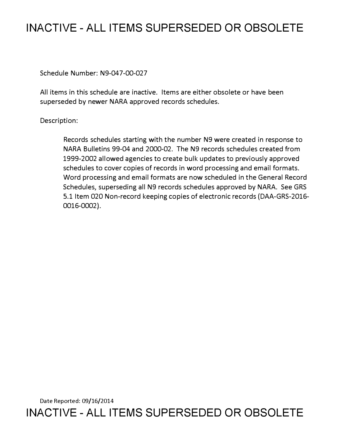## **INACTIVE - ALL ITEMS SUPERSEDED OR OBSOLETE**

Schedule Number: N9-047-00-027

All items in this schedule are inactive. Items are either obsolete or have been superseded by newer NARA approved records schedules.

Description:

Records schedules starting with the number N9 were created in response to NARA Bulletins 99-04 and 2000-02. The N9 records schedules created from 1999-2002 allowed agencies to create bulk updates to previously approved schedules to cover copies of records in word processing and email formats. Word processing and email formats are now scheduled in the General Record Schedules, superseding all N9 records schedules approved by NARA. See GRS 5.1 Item 020 Non-record keeping copies of electronic records (DAA-GRS-2016- 0016-0002).

Date Reported: 09/16/2014 **INACTIVE - ALL ITEMS SUPERSEDED OR OBSOLETE**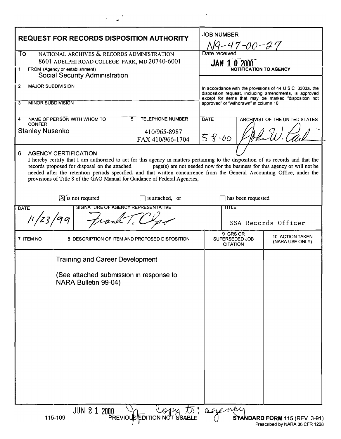| <b>REQUEST FOR RECORDS DISPOSITION AUTHORITY</b>                                                                                                                                                                                                                                                                                                                                                                                                                                                              |                                                                 |                     |                                                                  |                    | <b>JOB NUMBER</b><br>N9-47-00-27                                                                                                                        |                                           |  |
|---------------------------------------------------------------------------------------------------------------------------------------------------------------------------------------------------------------------------------------------------------------------------------------------------------------------------------------------------------------------------------------------------------------------------------------------------------------------------------------------------------------|-----------------------------------------------------------------|---------------------|------------------------------------------------------------------|--------------------|---------------------------------------------------------------------------------------------------------------------------------------------------------|-------------------------------------------|--|
| NATIONAL ARCHIVES & RECORDS ADMINISTRATION<br>To<br>8601 ADELPHI ROAD COLLEGE PARK, MD 20740-6001                                                                                                                                                                                                                                                                                                                                                                                                             |                                                                 |                     |                                                                  |                    | Date received<br>$JAN$ 1 0 2000                                                                                                                         |                                           |  |
| FROM (Agency or establishment)<br>1<br><b>Social Security Administration</b>                                                                                                                                                                                                                                                                                                                                                                                                                                  |                                                                 |                     |                                                                  |                    | NOTIFICATION TO AGENCY                                                                                                                                  |                                           |  |
| <b>MAJOR SUBDIVISION</b><br>2                                                                                                                                                                                                                                                                                                                                                                                                                                                                                 |                                                                 |                     |                                                                  |                    | In accordance with the provisions of 44 U S C 3303a, the                                                                                                |                                           |  |
| <b>MINOR SUBDIVISION</b><br>3                                                                                                                                                                                                                                                                                                                                                                                                                                                                                 |                                                                 |                     |                                                                  |                    | disposition request, including amendments, is approved<br>except for items that may be marked "disposition not<br>approved" or "withdrawn" in column 10 |                                           |  |
| 4<br><b>CONFER</b><br><b>Stanley Nusenko</b>                                                                                                                                                                                                                                                                                                                                                                                                                                                                  | NAME OF PERSON WITH WHOM TO                                     |                     | <b>TELEPHONE NUMBER</b><br>5<br>410/965-8987<br>FAX 410/966-1704 | <b>DATE</b>        | <b>ARCHIVIST OF THE UNITED STATES</b><br>$58 - 00$                                                                                                      |                                           |  |
| 6<br><b>AGENCY CERTIFICATION</b><br>I hereby certify that I am authorized to act for this agency in matters pertaining to the disposition of its records and that the<br>records proposed for disposal on the attached<br>page(s) are not needed now for the business for this agency or will not be<br>needed after the retention periods specified, and that written concurrence from the General Accounting Office, under the<br>provisions of Title 8 of the GAO Manual for Guidance of Federal Agencies, |                                                                 |                     |                                                                  |                    |                                                                                                                                                         |                                           |  |
|                                                                                                                                                                                                                                                                                                                                                                                                                                                                                                               | $\triangleright$ is not required                                |                     |                                                                  | has been requested |                                                                                                                                                         |                                           |  |
| SIGNATURE OF AGENCY REPRESENTATIVE<br><b>DATE</b><br>11/23                                                                                                                                                                                                                                                                                                                                                                                                                                                    |                                                                 |                     |                                                                  |                    | <b>TITLE</b>                                                                                                                                            | SSA Records Officer                       |  |
| 7 ITEM NO                                                                                                                                                                                                                                                                                                                                                                                                                                                                                                     |                                                                 |                     | 8 DESCRIPTION OF ITEM AND PROPOSED DISPOSITION                   |                    | 9 GRS OR<br>SUPERSEDED JOB<br><b>CITATION</b>                                                                                                           | <b>10 ACTION TAKEN</b><br>(NARA USE ONLY) |  |
|                                                                                                                                                                                                                                                                                                                                                                                                                                                                                                               | <b>Training and Career Development</b>                          |                     |                                                                  |                    |                                                                                                                                                         |                                           |  |
|                                                                                                                                                                                                                                                                                                                                                                                                                                                                                                               | (See attached submission in response to<br>NARA Bulletin 99-04) |                     |                                                                  |                    |                                                                                                                                                         |                                           |  |
|                                                                                                                                                                                                                                                                                                                                                                                                                                                                                                               |                                                                 | <b>JUN 2 1 2000</b> |                                                                  |                    |                                                                                                                                                         |                                           |  |
| DO VORY to? agency<br>115-109<br>STANDARD FORM 115 (REV 3-91)<br>Prescribed by NARA 36 CFR 1228                                                                                                                                                                                                                                                                                                                                                                                                               |                                                                 |                     |                                                                  |                    |                                                                                                                                                         |                                           |  |

 $\bar{\mathbf{r}}$ 

 $\frac{1}{2}$